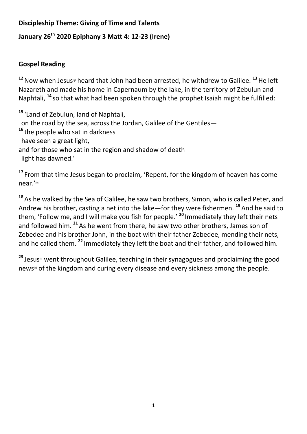## **Discipleship Theme: Giving of Time and Talents**

## **January 26th 2020 Epiphany 3 Matt 4: 12-23 (Irene)**

## **Gospel Reading**

12 Now when Jesus<sup>®</sup> heard that John had been arrested, he withdrew to Galilee. <sup>13</sup> He left Nazareth and made his home in Capernaum by the lake, in the territory of Zebulun and Naphtali, **<sup>14</sup>** so that what had been spoken through the prophet Isaiah might be fulfilled:

**<sup>15</sup>** 'Land of Zebulun, land of Naphtali, on the road by the sea, across the Jordan, Galilee of the Gentiles— **<sup>16</sup>** the people who sat in darkness have seen a great light, and for those who sat in the region and shadow of death light has dawned.'

**<sup>17</sup>** From that time Jesus began to proclaim, 'Repent, for the kingdom of heaven has come near.'<sup>b]</sup>

**<sup>18</sup>** As he walked by the Sea of Galilee, he saw two brothers, Simon, who is called Peter, and Andrew his brother, casting a net into the lake—for they were fishermen. **<sup>19</sup>** And he said to them, 'Follow me, and I will make you fish for people.' **<sup>20</sup>** Immediately they left their nets and followed him. **<sup>21</sup>** As he went from there, he saw two other brothers, James son of Zebedee and his brother John, in the boat with their father Zebedee, mending their nets, and he called them. **<sup>22</sup>** Immediately they left the boat and their father, and followed him.

23 Jesus<sup>[d]</sup> went throughout Galilee, teaching in their synagogues and proclaiming the good news<sup>[\[d\]](https://beta.biblegateway.com/passage/?search=matt+4%3A12-23&version=NRSVACE#fen-NRSVACE-27504d)</sup> of the kingdom and curing every disease and every sickness among the people.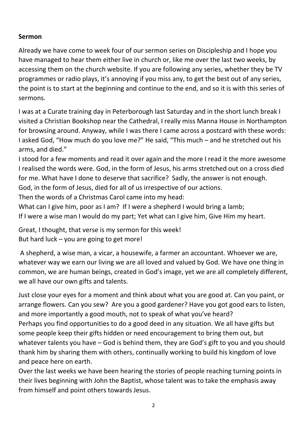## **Sermon**

Already we have come to week four of our sermon series on Discipleship and I hope you have managed to hear them either live in church or, like me over the last two weeks, by accessing them on the church website. If you are following any series, whether they be TV programmes or radio plays, it's annoying if you miss any, to get the best out of any series, the point is to start at the beginning and continue to the end, and so it is with this series of sermons.

I was at a Curate training day in Peterborough last Saturday and in the short lunch break I visited a Christian Bookshop near the Cathedral, I really miss Manna House in Northampton for browsing around. Anyway, while I was there I came across a postcard with these words: I asked God, "How much do you love me?" He said, "This much – and he stretched out his arms, and died."

I stood for a few moments and read it over again and the more I read it the more awesome I realised the words were. God, in the form of Jesus, his arms stretched out on a cross died for me. What have I done to deserve that sacrifice? Sadly, the answer is not enough. God, in the form of Jesus, died for all of us irrespective of our actions.

Then the words of a Christmas Carol came into my head:

What can I give him, poor as I am? If I were a shepherd I would bring a lamb; If I were a wise man I would do my part; Yet what can I give him, Give Him my heart.

Great, I thought, that verse is my sermon for this week! But hard luck – you are going to get more!

A shepherd, a wise man, a vicar, a housewife, a farmer an accountant. Whoever we are, whatever way we earn our living we are all loved and valued by God. We have one thing in common, we are human beings, created in God's image, yet we are all completely different, we all have our own gifts and talents.

Just close your eyes for a moment and think about what you are good at. Can you paint, or arrange flowers. Can you sew? Are you a good gardener? Have you got good ears to listen, and more importantly a good mouth, not to speak of what you've heard? Perhaps you find opportunities to do a good deed in any situation. We all have gifts but some people keep their gifts hidden or need encouragement to bring them out, but whatever talents you have – God is behind them, they are God's gift to you and you should thank him by sharing them with others, continually working to build his kingdom of love and peace here on earth.

Over the last weeks we have been hearing the stories of people reaching turning points in their lives beginning with John the Baptist, whose talent was to take the emphasis away from himself and point others towards Jesus.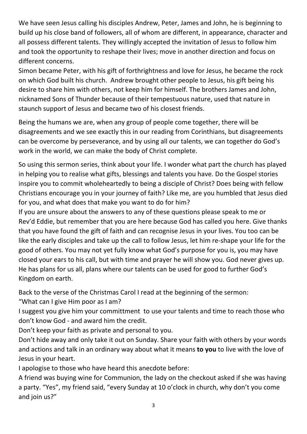We have seen Jesus calling his disciples Andrew, Peter, James and John, he is beginning to build up his close band of followers, all of whom are different, in appearance, character and all possess different talents. They willingly accepted the invitation of Jesus to follow him and took the opportunity to reshape their lives; move in another direction and focus on different concerns.

Simon became Peter, with his gift of forthrightness and love for Jesus, he became the rock on which God built his church. Andrew brought other people to Jesus, his gift being his desire to share him with others, not keep him for himself. The brothers James and John, nicknamed Sons of Thunder because of their tempestuous nature, used that nature in staunch support of Jesus and became two of his closest friends.

Being the humans we are, when any group of people come together, there will be disagreements and we see exactly this in our reading from Corinthians, but disagreements can be overcome by perseverance, and by using all our talents, we can together do God's work in the world, we can make the body of Christ complete.

So using this sermon series, think about your life. I wonder what part the church has played in helping you to realise what gifts, blessings and talents you have. Do the Gospel stories inspire you to commit wholeheartedly to being a disciple of Christ? Does being with fellow Christians encourage you in your journey of faith? Like me, are you humbled that Jesus died for you, and what does that make you want to do for him?

If you are unsure about the answers to any of these questions please speak to me or Rev'd Eddie, but remember that you are here because God has called you here. Give thanks that you have found the gift of faith and can recognise Jesus in your lives. You too can be like the early disciples and take up the call to follow Jesus, let him re-shape your life for the good of others. You may not yet fully know what God's purpose for you is, you may have closed your ears to his call, but with time and prayer he will show you. God never gives up. He has plans for us all, plans where our talents can be used for good to further God's Kingdom on earth.

Back to the verse of the Christmas Carol I read at the beginning of the sermon:

"What can I give Him poor as I am?

I suggest you give him your committment to use your talents and time to reach those who don't know God - and award him the credit.

Don't keep your faith as private and personal to you.

Don't hide away and only take it out on Sunday. Share your faith with others by your words and actions and talk in an ordinary way about what it means **to you** to live with the love of Jesus in your heart.

I apologise to those who have heard this anecdote before:

A friend was buying wine for Communion, the lady on the checkout asked if she was having a party. "Yes", my friend said, "every Sunday at 10 o'clock in church, why don't you come and join us?"